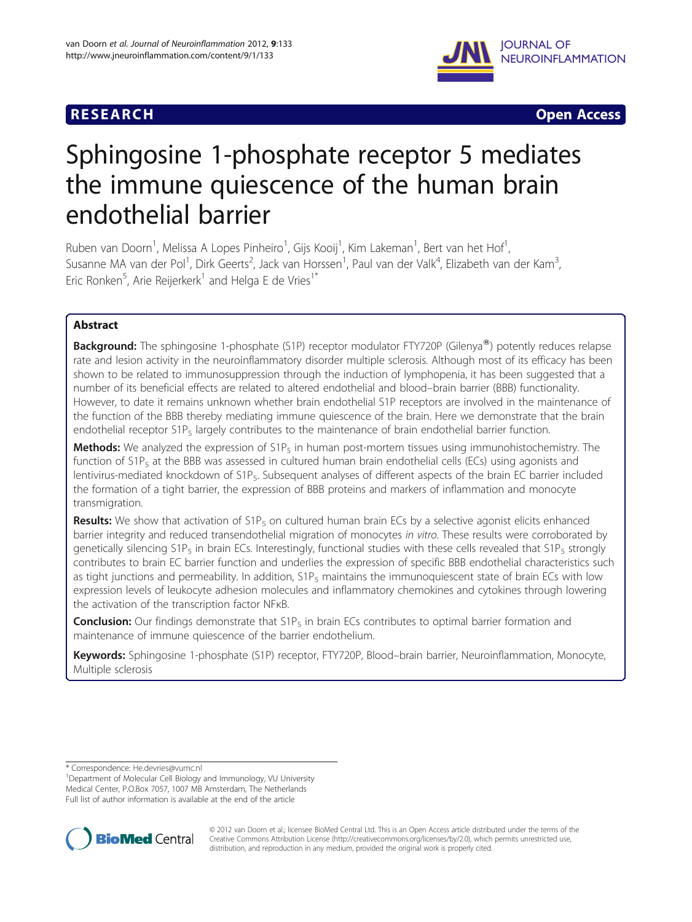## **RESEARCH RESEARCH** *CHECK <b>CHECK*



# Sphingosine 1-phosphate receptor 5 mediates the immune quiescence of the human brain endothelial barrier

Ruben van Doorn<sup>1</sup>, Melissa A Lopes Pinheiro<sup>1</sup>, Gijs Kooij<sup>1</sup>, Kim Lakeman<sup>1</sup>, Bert van het Hof<sup>1</sup> , Susanne MA van der Pol<sup>1</sup>, Dirk Geerts<sup>2</sup>, Jack van Horssen<sup>1</sup>, Paul van der Valk<sup>4</sup>, Elizabeth van der Kam<sup>3</sup> , Eric Ronken $^5$ , Arie Reijerkerk $^1$  and Helga E de Vries $^{1^\ast}$ 

## Abstract

**Background:** The sphingosine 1-phosphate (S1P) receptor modulator FTY720P (Gilenya®) potently reduces relapse rate and lesion activity in the neuroinflammatory disorder multiple sclerosis. Although most of its efficacy has been shown to be related to immunosuppression through the induction of lymphopenia, it has been suggested that a number of its beneficial effects are related to altered endothelial and blood–brain barrier (BBB) functionality. However, to date it remains unknown whether brain endothelial S1P receptors are involved in the maintenance of the function of the BBB thereby mediating immune quiescence of the brain. Here we demonstrate that the brain endothelial receptor S1P<sub>5</sub> largely contributes to the maintenance of brain endothelial barrier function.

**Methods:** We analyzed the expression of  $S1P<sub>5</sub>$  in human post-mortem tissues using immunohistochemistry. The function of  $S1P_5$  at the BBB was assessed in cultured human brain endothelial cells (ECs) using agonists and lentivirus-mediated knockdown of S1P5. Subsequent analyses of different aspects of the brain EC barrier included the formation of a tight barrier, the expression of BBB proteins and markers of inflammation and monocyte transmigration.

Results: We show that activation of S1P<sub>5</sub> on cultured human brain ECs by a selective agonist elicits enhanced barrier integrity and reduced transendothelial migration of monocytes in vitro. These results were corroborated by genetically silencing S1P<sub>5</sub> in brain ECs. Interestingly, functional studies with these cells revealed that S1P<sub>5</sub> strongly contributes to brain EC barrier function and underlies the expression of specific BBB endothelial characteristics such as tight junctions and permeability. In addition,  $S1P_5$  maintains the immunoquiescent state of brain ECs with low expression levels of leukocyte adhesion molecules and inflammatory chemokines and cytokines through lowering the activation of the transcription factor NFκB.

**Conclusion:** Our findings demonstrate that  $S1P_5$  in brain ECs contributes to optimal barrier formation and maintenance of immune quiescence of the barrier endothelium.

Keywords: Sphingosine 1-phosphate (S1P) receptor, FTY720P, Blood-brain barrier, Neuroinflammation, Monocyte, Multiple sclerosis

\* Correspondence: [He.devries@vumc.nl](mailto:He.devries@vumc.nl) <sup>1</sup>

Department of Molecular Cell Biology and Immunology, VU University Medical Center, P.O.Box 7057, 1007 MB Amsterdam, The Netherlands Full list of author information is available at the end of the article



© 2012 van Doorn et al.; licensee BioMed Central Ltd. This is an Open Access article distributed under the terms of the Creative Commons Attribution License (<http://creativecommons.org/licenses/by/2.0>), which permits unrestricted use, distribution, and reproduction in any medium, provided the original work is properly cited.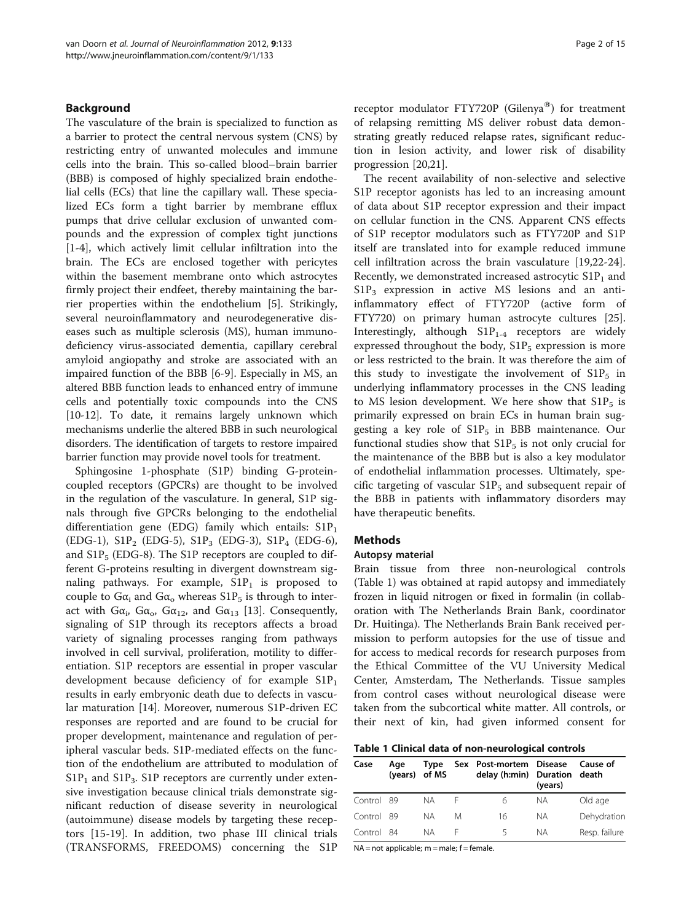#### Background

The vasculature of the brain is specialized to function as a barrier to protect the central nervous system (CNS) by restricting entry of unwanted molecules and immune cells into the brain. This so-called blood–brain barrier (BBB) is composed of highly specialized brain endothelial cells (ECs) that line the capillary wall. These specialized ECs form a tight barrier by membrane efflux pumps that drive cellular exclusion of unwanted compounds and the expression of complex tight junctions [[1-4](#page-13-0)], which actively limit cellular infiltration into the brain. The ECs are enclosed together with pericytes within the basement membrane onto which astrocytes firmly project their endfeet, thereby maintaining the barrier properties within the endothelium [[5\]](#page-13-0). Strikingly, several neuroinflammatory and neurodegenerative diseases such as multiple sclerosis (MS), human immunodeficiency virus-associated dementia, capillary cerebral amyloid angiopathy and stroke are associated with an impaired function of the BBB [[6-9](#page-13-0)]. Especially in MS, an altered BBB function leads to enhanced entry of immune cells and potentially toxic compounds into the CNS [[10](#page-13-0)-[12\]](#page-13-0). To date, it remains largely unknown which mechanisms underlie the altered BBB in such neurological disorders. The identification of targets to restore impaired barrier function may provide novel tools for treatment.

Sphingosine 1-phosphate (S1P) binding G-proteincoupled receptors (GPCRs) are thought to be involved in the regulation of the vasculature. In general, S1P signals through five GPCRs belonging to the endothelial differentiation gene (EDG) family which entails:  $\text{S1P}_1$ (EDG-1), S1P<sub>2</sub> (EDG-5), S1P<sub>3</sub> (EDG-3), S1P<sub>4</sub> (EDG-6), and  $S1P_5$  (EDG-8). The S1P receptors are coupled to different G-proteins resulting in divergent downstream signaling pathways. For example,  $S1P_1$  is proposed to couple to  $Ga_i$  and  $Ga_o$  whereas  $S1P_5$  is through to interact with  $Ga_i$ ,  $Ga_0$ ,  $Ga_{12}$ , and  $Ga_{13}$  [\[13\]](#page-13-0). Consequently, signaling of S1P through its receptors affects a broad variety of signaling processes ranging from pathways involved in cell survival, proliferation, motility to differentiation. S1P receptors are essential in proper vascular development because deficiency of for example  $S1P_1$ results in early embryonic death due to defects in vascular maturation [[14](#page-13-0)]. Moreover, numerous S1P-driven EC responses are reported and are found to be crucial for proper development, maintenance and regulation of peripheral vascular beds. S1P-mediated effects on the function of the endothelium are attributed to modulation of  $S1P_1$  and  $S1P_3$ .  $S1P$  receptors are currently under extensive investigation because clinical trials demonstrate significant reduction of disease severity in neurological (autoimmune) disease models by targeting these receptors [\[15](#page-13-0)-[19](#page-13-0)]. In addition, two phase III clinical trials (TRANSFORMS, FREEDOMS) concerning the S1P receptor modulator FTY720P (Gilenya<sup>®</sup>) for treatment of relapsing remitting MS deliver robust data demonstrating greatly reduced relapse rates, significant reduction in lesion activity, and lower risk of disability progression [\[20,21](#page-13-0)].

The recent availability of non-selective and selective S1P receptor agonists has led to an increasing amount of data about S1P receptor expression and their impact on cellular function in the CNS. Apparent CNS effects of S1P receptor modulators such as FTY720P and S1P itself are translated into for example reduced immune cell infiltration across the brain vasculature [\[19,22-24](#page-13-0)]. Recently, we demonstrated increased astrocytic  $S1P_1$  and  $S1P_3$  expression in active MS lesions and an antiinflammatory effect of FTY720P (active form of FTY720) on primary human astrocyte cultures [\[25](#page-13-0)]. Interestingly, although  $S1P_{1-4}$  receptors are widely expressed throughout the body,  $S1P_5$  expression is more or less restricted to the brain. It was therefore the aim of this study to investigate the involvement of  $\text{S1P}_5$  in underlying inflammatory processes in the CNS leading to MS lesion development. We here show that  $S1P_5$  is primarily expressed on brain ECs in human brain suggesting a key role of  $S1P_5$  in BBB maintenance. Our functional studies show that  $S1P_5$  is not only crucial for the maintenance of the BBB but is also a key modulator of endothelial inflammation processes. Ultimately, specific targeting of vascular  $S1P_5$  and subsequent repair of the BBB in patients with inflammatory disorders may have therapeutic benefits.

## Methods

#### Autopsy material

Brain tissue from three non-neurological controls (Table 1) was obtained at rapid autopsy and immediately frozen in liquid nitrogen or fixed in formalin (in collaboration with The Netherlands Brain Bank, coordinator Dr. Huitinga). The Netherlands Brain Bank received permission to perform autopsies for the use of tissue and for access to medical records for research purposes from the Ethical Committee of the VU University Medical Center, Amsterdam, The Netherlands. Tissue samples from control cases without neurological disease were taken from the subcortical white matter. All controls, or their next of kin, had given informed consent for

Table 1 Clinical data of non-neurological controls

| Case       | Aae<br>(years) of MS | Type |   | Sex Post-mortem Disease<br>delay (h:min) Duration death | (years) | Cause of      |
|------------|----------------------|------|---|---------------------------------------------------------|---------|---------------|
| Control 89 |                      | NА   |   | 6                                                       | ΝA      | Old age       |
| Control 89 |                      | NA.  | M | 16                                                      | ΝA      | Dehydration   |
| Control 84 |                      | NA.  | ⊢ | Ч                                                       | NА      | Resp. failure |

 $NA = not applicable; m = male; f = female.$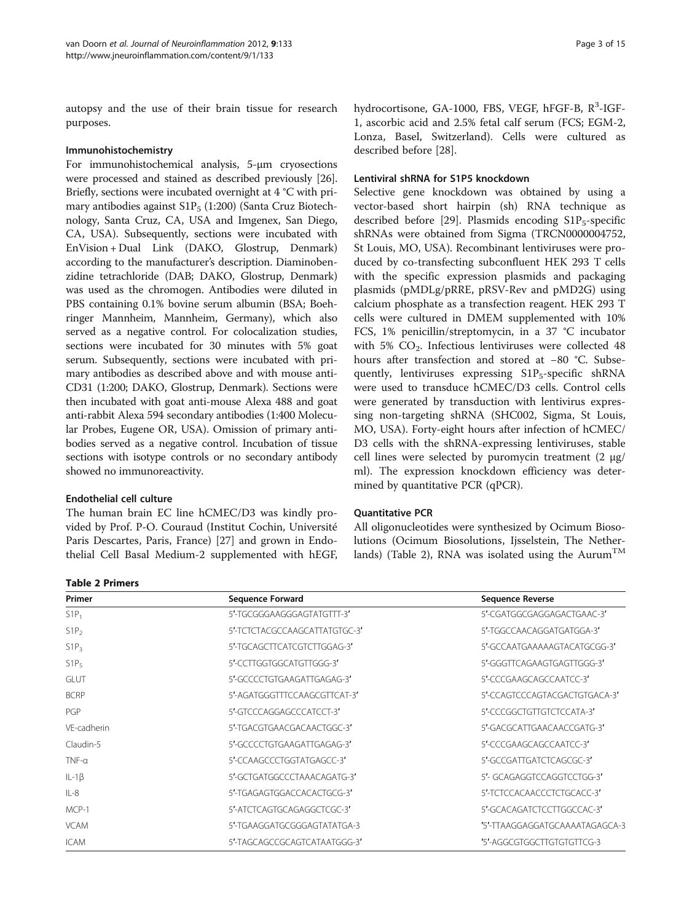autopsy and the use of their brain tissue for research purposes.

#### Immunohistochemistry

For immunohistochemical analysis, 5-μm cryosections were processed and stained as described previously [[26](#page-13-0)]. Briefly, sections were incubated overnight at 4 °C with primary antibodies against  $S1P_5$  (1:200) (Santa Cruz Biotechnology, Santa Cruz, CA, USA and Imgenex, San Diego, CA, USA). Subsequently, sections were incubated with EnVision + Dual Link (DAKO, Glostrup, Denmark) according to the manufacturer's description. Diaminobenzidine tetrachloride (DAB; DAKO, Glostrup, Denmark) was used as the chromogen. Antibodies were diluted in PBS containing 0.1% bovine serum albumin (BSA; Boehringer Mannheim, Mannheim, Germany), which also served as a negative control. For colocalization studies, sections were incubated for 30 minutes with 5% goat serum. Subsequently, sections were incubated with primary antibodies as described above and with mouse anti-CD31 (1:200; DAKO, Glostrup, Denmark). Sections were then incubated with goat anti-mouse Alexa 488 and goat anti-rabbit Alexa 594 secondary antibodies (1:400 Molecular Probes, Eugene OR, USA). Omission of primary antibodies served as a negative control. Incubation of tissue sections with isotype controls or no secondary antibody showed no immunoreactivity.

## Endothelial cell culture

The human brain EC line hCMEC/D3 was kindly provided by Prof. P-O. Couraud (Institut Cochin, Université Paris Descartes, Paris, France) [\[27\]](#page-14-0) and grown in Endothelial Cell Basal Medium-2 supplemented with hEGF,

Table 2 Primers

hydrocortisone, GA-1000, FBS, VEGF, hFGF-B, R<sup>3</sup>-IGF-1, ascorbic acid and 2.5% fetal calf serum (FCS; EGM-2, Lonza, Basel, Switzerland). Cells were cultured as described before [\[28\]](#page-14-0).

#### Lentiviral shRNA for S1P5 knockdown

Selective gene knockdown was obtained by using a vector-based short hairpin (sh) RNA technique as described before [\[29](#page-14-0)]. Plasmids encoding  $S1P_5$ -specific shRNAs were obtained from Sigma (TRCN0000004752, St Louis, MO, USA). Recombinant lentiviruses were produced by co-transfecting subconfluent HEK 293 T cells with the specific expression plasmids and packaging plasmids (pMDLg/pRRE, pRSV-Rev and pMD2G) using calcium phosphate as a transfection reagent. HEK 293 T cells were cultured in DMEM supplemented with 10% FCS, 1% penicillin/streptomycin, in a 37 °C incubator with 5%  $CO<sub>2</sub>$ . Infectious lentiviruses were collected 48 hours after transfection and stored at −80 °C. Subsequently, lentiviruses expressing  $S1P_5$ -specific shRNA were used to transduce hCMEC/D3 cells. Control cells were generated by transduction with lentivirus expressing non-targeting shRNA (SHC002, Sigma, St Louis, MO, USA). Forty-eight hours after infection of hCMEC/ D3 cells with the shRNA-expressing lentiviruses, stable cell lines were selected by puromycin treatment (2 μg/ ml). The expression knockdown efficiency was determined by quantitative PCR (qPCR).

## Quantitative PCR

All oligonucleotides were synthesized by Ocimum Biosolutions (Ocimum Biosolutions, Ijsselstein, The Netherlands) (Table 2), RNA was isolated using the Aurum<sup>TM</sup>

| Primer           | <b>Sequence Forward</b>       | <b>Sequence Reverse</b>        |  |
|------------------|-------------------------------|--------------------------------|--|
| $S1P_1$          | 5'-TGCGGGAAGGGAGTATGTTT-3'    | 5'-CGATGGCGAGGAGACTGAAC-3'     |  |
| S1P <sub>2</sub> | 5'-TCTCTACGCCAAGCATTATGTGC-3' | 5'-TGGCCAACAGGATGATGGA-3'      |  |
| $S1P_3$          | 5'-TGCAGCTTCATCGTCTTGGAG-3'   | 5'-GCCAATGAAAAAGTACATGCGG-3'   |  |
| S1P <sub>5</sub> | 5'-CCTTGGTGGCATGTTGGG-3'      | 5'-GGGTTCAGAAGTGAGTTGGG-3'     |  |
| <b>GLUT</b>      | 5'-GCCCCTGTGAAGATTGAGAG-3'    | 5'-CCCGAAGCAGCCAATCC-3'        |  |
| <b>BCRP</b>      | 5'-AGATGGGTTTCCAAGCGTTCAT-3'  | 5'-CCAGTCCCAGTACGACTGTGACA-3'  |  |
| PGP              | 5'-GTCCCAGGAGCCCATCCT-3'      | 5'-CCCGGCTGTTGTCTCCATA-3'      |  |
| VF-cadherin      | 5'-TGACGTGAACGACAACTGGC-3'    | 5'-GACGCATTGAACAACCGATG-3'     |  |
| Claudin-5        | 5'-GCCCCTGTGAAGATTGAGAG-3'    | 5'-CCCGAAGCAGCCAATCC-3'        |  |
| $TNF-a$          | 5'-CCAAGCCCTGGTATGAGCC-3'     | 5'-GCCGATTGATCTCAGCGC-3'       |  |
| $IL-1\beta$      | 5'-GCTGATGGCCCTAAACAGATG-3'   | 5'- GCAGAGGTCCAGGTCCTGG-3'     |  |
| $IL-8$           | 5'-TGAGAGTGGACCACACTGCG-3'    | 5'-TCTCCACAACCCTCTGCACC-3'     |  |
| MCP-1            | 5'-ATCTCAGTGCAGAGGCTCGC-3'    | 5'-GCACAGATCTCCTTGGCCAC-3'     |  |
| <b>VCAM</b>      | 5'-TGAAGGATGCGGGAGTATATGA-3   | '5'-TTAAGGAGGATGCAAAATAGAGCA-3 |  |
| <b>ICAM</b>      | 5'-TAGCAGCCGCAGTCATAATGGG-3'  | '5'-AGGCGTGGCTTGTGTGTTCG-3     |  |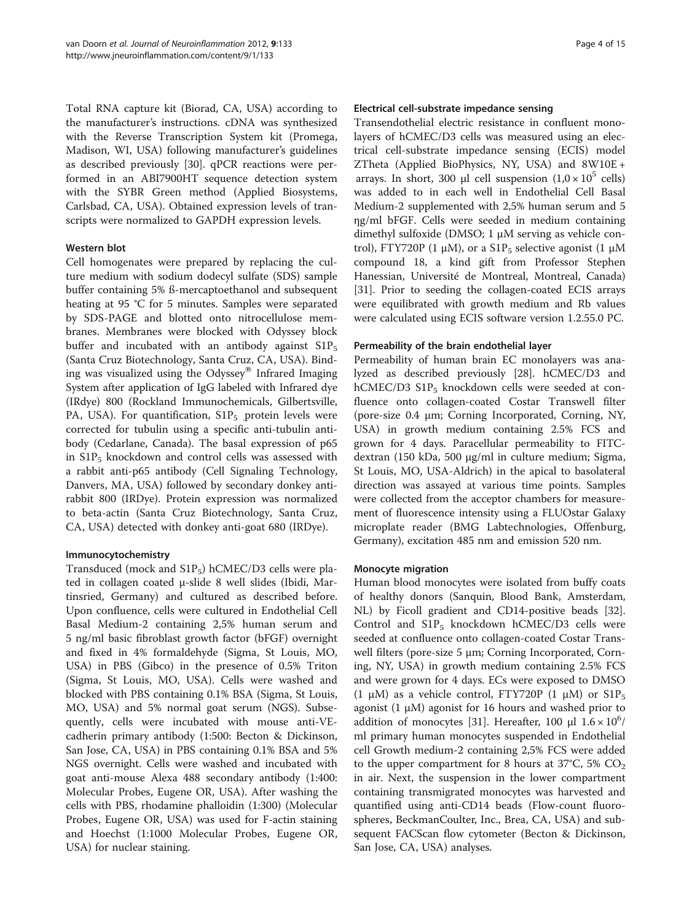Total RNA capture kit (Biorad, CA, USA) according to the manufacturer's instructions. cDNA was synthesized with the Reverse Transcription System kit (Promega, Madison, WI, USA) following manufacturer's guidelines as described previously [[30](#page-14-0)]. qPCR reactions were performed in an ABI7900HT sequence detection system with the SYBR Green method (Applied Biosystems, Carlsbad, CA, USA). Obtained expression levels of transcripts were normalized to GAPDH expression levels.

## Western blot

Cell homogenates were prepared by replacing the culture medium with sodium dodecyl sulfate (SDS) sample buffer containing 5% ß-mercaptoethanol and subsequent heating at 95 °C for 5 minutes. Samples were separated by SDS-PAGE and blotted onto nitrocellulose membranes. Membranes were blocked with Odyssey block buffer and incubated with an antibody against  $S1P_5$ (Santa Cruz Biotechnology, Santa Cruz, CA, USA). Binding was visualized using the Odyssey $^{\circledR}$  Infrared Imaging System after application of IgG labeled with Infrared dye (IRdye) 800 (Rockland Immunochemicals, Gilbertsville, PA, USA). For quantification,  $S1P_5$  protein levels were corrected for tubulin using a specific anti-tubulin antibody (Cedarlane, Canada). The basal expression of p65 in  $S1P_5$  knockdown and control cells was assessed with a rabbit anti-p65 antibody (Cell Signaling Technology, Danvers, MA, USA) followed by secondary donkey antirabbit 800 (IRDye). Protein expression was normalized to beta-actin (Santa Cruz Biotechnology, Santa Cruz, CA, USA) detected with donkey anti-goat 680 (IRDye).

## Immunocytochemistry

Transduced (mock and  $S1P_5$ ) hCMEC/D3 cells were plated in collagen coated μ-slide 8 well slides (Ibidi, Martinsried, Germany) and cultured as described before. Upon confluence, cells were cultured in Endothelial Cell Basal Medium-2 containing 2,5% human serum and 5 ng/ml basic fibroblast growth factor (bFGF) overnight and fixed in 4% formaldehyde (Sigma, St Louis, MO, USA) in PBS (Gibco) in the presence of 0.5% Triton (Sigma, St Louis, MO, USA). Cells were washed and blocked with PBS containing 0.1% BSA (Sigma, St Louis, MO, USA) and 5% normal goat serum (NGS). Subsequently, cells were incubated with mouse anti-VEcadherin primary antibody (1:500: Becton & Dickinson, San Jose, CA, USA) in PBS containing 0.1% BSA and 5% NGS overnight. Cells were washed and incubated with goat anti-mouse Alexa 488 secondary antibody (1:400: Molecular Probes, Eugene OR, USA). After washing the cells with PBS, rhodamine phalloidin (1:300) (Molecular Probes, Eugene OR, USA) was used for F-actin staining and Hoechst (1:1000 Molecular Probes, Eugene OR, USA) for nuclear staining.

#### Electrical cell-substrate impedance sensing

Transendothelial electric resistance in confluent monolayers of hCMEC/D3 cells was measured using an electrical cell-substrate impedance sensing (ECIS) model ZTheta (Applied BioPhysics, NY, USA) and 8W10E + arrays. In short, 300 μl cell suspension  $(1,0 \times 10^5 \text{ cells})$ was added to in each well in Endothelial Cell Basal Medium-2 supplemented with 2,5% human serum and 5 ηg/ml bFGF. Cells were seeded in medium containing dimethyl sulfoxide (DMSO; 1 μM serving as vehicle control), FTY720P (1 μM), or a  $S1P_5$  selective agonist (1 μM compound 18, a kind gift from Professor Stephen Hanessian, Université de Montreal, Montreal, Canada) [[31\]](#page-14-0). Prior to seeding the collagen-coated ECIS arrays were equilibrated with growth medium and Rb values were calculated using ECIS software version 1.2.55.0 PC.

## Permeability of the brain endothelial layer

Permeability of human brain EC monolayers was analyzed as described previously [\[28](#page-14-0)]. hCMEC/D3 and hCMEC/D3  $\text{S1P}_5$  knockdown cells were seeded at confluence onto collagen-coated Costar Transwell filter (pore-size 0.4 μm; Corning Incorporated, Corning, NY, USA) in growth medium containing 2.5% FCS and grown for 4 days. Paracellular permeability to FITCdextran (150 kDa, 500 μg/ml in culture medium; Sigma, St Louis, MO, USA-Aldrich) in the apical to basolateral direction was assayed at various time points. Samples were collected from the acceptor chambers for measurement of fluorescence intensity using a FLUOstar Galaxy microplate reader (BMG Labtechnologies, Offenburg, Germany), excitation 485 nm and emission 520 nm.

#### Monocyte migration

Human blood monocytes were isolated from buffy coats of healthy donors (Sanquin, Blood Bank, Amsterdam, NL) by Ficoll gradient and CD14-positive beads [\[32](#page-14-0)]. Control and  $S1P_5$  knockdown hCMEC/D3 cells were seeded at confluence onto collagen-coated Costar Transwell filters (pore-size 5 μm; Corning Incorporated, Corning, NY, USA) in growth medium containing 2.5% FCS and were grown for 4 days. ECs were exposed to DMSO (1 μM) as a vehicle control, FTY720P (1 μM) or  $\text{S1P}_5$ agonist (1 μM) agonist for 16 hours and washed prior to addition of monocytes [\[31\]](#page-14-0). Hereafter, 100  $\mu$ l  $1.6 \times 10^6$ / ml primary human monocytes suspended in Endothelial cell Growth medium-2 containing 2,5% FCS were added to the upper compartment for 8 hours at 37 $\degree$ C, 5% CO<sub>2</sub> in air. Next, the suspension in the lower compartment containing transmigrated monocytes was harvested and quantified using anti-CD14 beads (Flow-count fluorospheres, BeckmanCoulter, Inc., Brea, CA, USA) and subsequent FACScan flow cytometer (Becton & Dickinson, San Jose, CA, USA) analyses.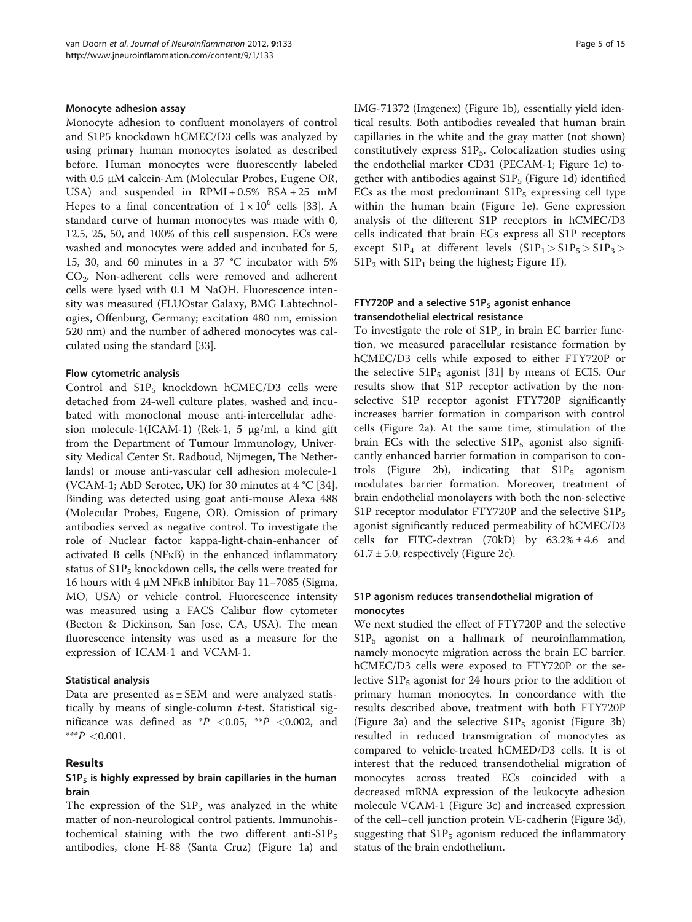#### Monocyte adhesion assay

Monocyte adhesion to confluent monolayers of control and S1P5 knockdown hCMEC/D3 cells was analyzed by using primary human monocytes isolated as described before. Human monocytes were fluorescently labeled with 0.5 μM calcein-Am (Molecular Probes, Eugene OR, USA) and suspended in RPMI + 0.5% BSA + 25 mM Hepes to a final concentration of  $1 \times 10^6$  cells [[33](#page-14-0)]. A standard curve of human monocytes was made with 0, 12.5, 25, 50, and 100% of this cell suspension. ECs were washed and monocytes were added and incubated for 5, 15, 30, and 60 minutes in a 37 °C incubator with 5% CO<sub>2</sub>. Non-adherent cells were removed and adherent cells were lysed with 0.1 M NaOH. Fluorescence intensity was measured (FLUOstar Galaxy, BMG Labtechnologies, Offenburg, Germany; excitation 480 nm, emission 520 nm) and the number of adhered monocytes was calculated using the standard [\[33\]](#page-14-0).

#### Flow cytometric analysis

Control and  $S1P_5$  knockdown hCMEC/D3 cells were detached from 24-well culture plates, washed and incubated with monoclonal mouse anti-intercellular adhesion molecule-1(ICAM-1) (Rek-1, 5 μg/ml, a kind gift from the Department of Tumour Immunology, University Medical Center St. Radboud, Nijmegen, The Netherlands) or mouse anti-vascular cell adhesion molecule-1 (VCAM-1; AbD Serotec, UK) for 30 minutes at 4 °C [\[34](#page-14-0)]. Binding was detected using goat anti-mouse Alexa 488 (Molecular Probes, Eugene, OR). Omission of primary antibodies served as negative control. To investigate the role of Nuclear factor kappa-light-chain-enhancer of activated B cells (NFκB) in the enhanced inflammatory status of  $\text{S1P}_5$  knockdown cells, the cells were treated for 16 hours with 4 μM NFκB inhibitor Bay 11–7085 (Sigma, MO, USA) or vehicle control. Fluorescence intensity was measured using a FACS Calibur flow cytometer (Becton & Dickinson, San Jose, CA, USA). The mean fluorescence intensity was used as a measure for the expression of ICAM-1 and VCAM-1.

#### Statistical analysis

Data are presented as  $\pm$  SEM and were analyzed statistically by means of single-column  $t$ -test. Statistical significance was defined as  $P \leq 0.05$ ,  $P \leq 0.002$ , and \*\*\* $P < 0.001$ .

#### Results

#### $S1P_5$  is highly expressed by brain capillaries in the human brain

The expression of the  $S1P_5$  was analyzed in the white matter of non-neurological control patients. Immunohistochemical staining with the two different anti- $\text{S1P}_5$ antibodies, clone H-88 (Santa Cruz) (Figure [1a](#page-5-0)) and IMG-71372 (Imgenex) (Figure [1b](#page-5-0)), essentially yield identical results. Both antibodies revealed that human brain capillaries in the white and the gray matter (not shown) constitutively express  $S1P_5$ . Colocalization studies using the endothelial marker CD31 (PECAM-1; Figure [1c](#page-5-0)) together with antibodies against  $S1P_5$  (Figure [1d](#page-5-0)) identified ECs as the most predominant  $S1P_5$  expressing cell type within the human brain (Figure [1e](#page-5-0)). Gene expression analysis of the different S1P receptors in hCMEC/D3 cells indicated that brain ECs express all S1P receptors except  $\text{S1P}_4$  at different levels  $(\text{S1P}_1 > \text{S1P}_5 > \text{S1P}_3 >$  $S1P_2$  with  $S1P_1$  being the highest; Figure [1f](#page-5-0)).

### FTY720P and a selective  $S1P_5$  agonist enhance transendothelial electrical resistance

To investigate the role of  $S1P_5$  in brain EC barrier function, we measured paracellular resistance formation by hCMEC/D3 cells while exposed to either FTY720P or the selective  $S1P_5$  agonist [[31\]](#page-14-0) by means of ECIS. Our results show that S1P receptor activation by the nonselective S1P receptor agonist FTY720P significantly increases barrier formation in comparison with control cells (Figure [2a\)](#page-6-0). At the same time, stimulation of the brain ECs with the selective  $S1P_5$  agonist also significantly enhanced barrier formation in comparison to con-trols (Figure [2b\)](#page-6-0), indicating that  $\text{S1P}_5$  agonism modulates barrier formation. Moreover, treatment of brain endothelial monolayers with both the non-selective S1P receptor modulator FTY720P and the selective  $S1P_5$ agonist significantly reduced permeability of hCMEC/D3 cells for FITC-dextran (70kD) by  $63.2\% \pm 4.6$  and  $61.7 \pm 5.0$ , respectively (Figure [2c](#page-6-0)).

## S1P agonism reduces transendothelial migration of monocytes

We next studied the effect of FTY720P and the selective  $S1P_5$  agonist on a hallmark of neuroinflammation, namely monocyte migration across the brain EC barrier. hCMEC/D3 cells were exposed to FTY720P or the selective  $S1P_5$  agonist for 24 hours prior to the addition of primary human monocytes. In concordance with the results described above, treatment with both FTY720P (Figure [3a\)](#page-7-0) and the selective  $S1P_5$  agonist (Figure [3b](#page-7-0)) resulted in reduced transmigration of monocytes as compared to vehicle-treated hCMED/D3 cells. It is of interest that the reduced transendothelial migration of monocytes across treated ECs coincided with a decreased mRNA expression of the leukocyte adhesion molecule VCAM-1 (Figure [3c](#page-7-0)) and increased expression of the cell–cell junction protein VE-cadherin (Figure [3d](#page-7-0)), suggesting that  $\text{S1P}_5$  agonism reduced the inflammatory status of the brain endothelium.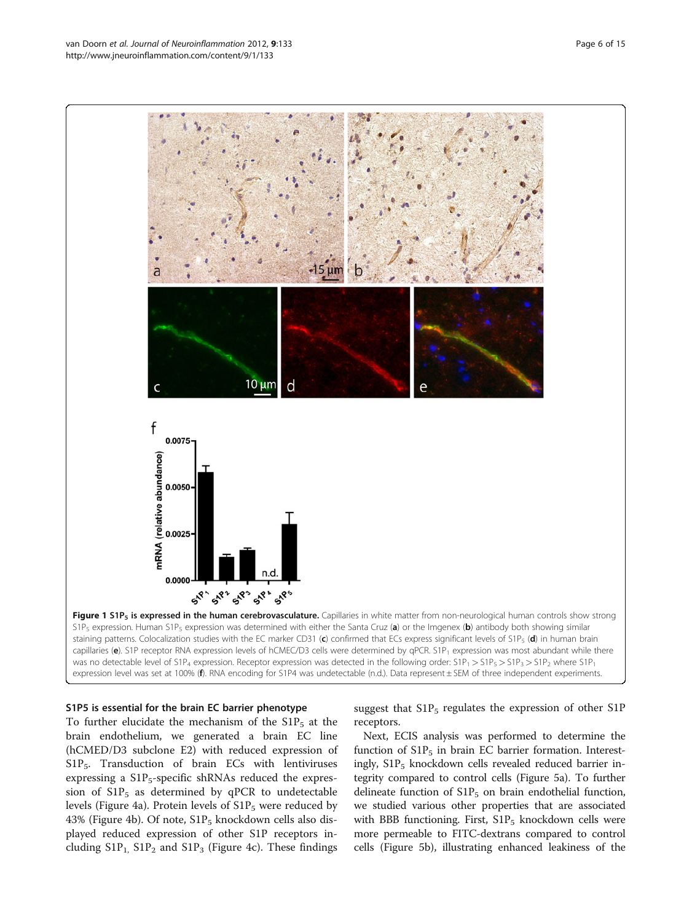<span id="page-5-0"></span>

#### S1P5 is essential for the brain EC barrier phenotype

To further elucidate the mechanism of the  $S1P_5$  at the brain endothelium, we generated a brain EC line (hCMED/D3 subclone E2) with reduced expression of  $S1P_5$ . Transduction of brain ECs with lentiviruses expressing a  $\text{S1P}_5$ -specific shRNAs reduced the expression of  $\text{S1P}_5$  as determined by qPCR to undetectable levels (Figure [4a](#page-8-0)). Protein levels of  $S1P_5$  were reduced by 43% (Figure [4b](#page-8-0)). Of note,  $S1P_5$  knockdown cells also displayed reduced expression of other S1P receptors including  $S1P_1$ ,  $S1P_2$  and  $S1P_3$  (Figure [4c](#page-8-0)). These findings suggest that  $S1P_5$  regulates the expression of other  $S1P_5$ receptors.

Next, ECIS analysis was performed to determine the function of  $\text{S1P}_5$  in brain EC barrier formation. Interestingly,  $S1P_5$  knockdown cells revealed reduced barrier integrity compared to control cells (Figure [5a\)](#page-9-0). To further delineate function of  $\text{S1P}_5$  on brain endothelial function, we studied various other properties that are associated with BBB functioning. First,  $S1P_5$  knockdown cells were more permeable to FITC-dextrans compared to control cells (Figure [5b\)](#page-9-0), illustrating enhanced leakiness of the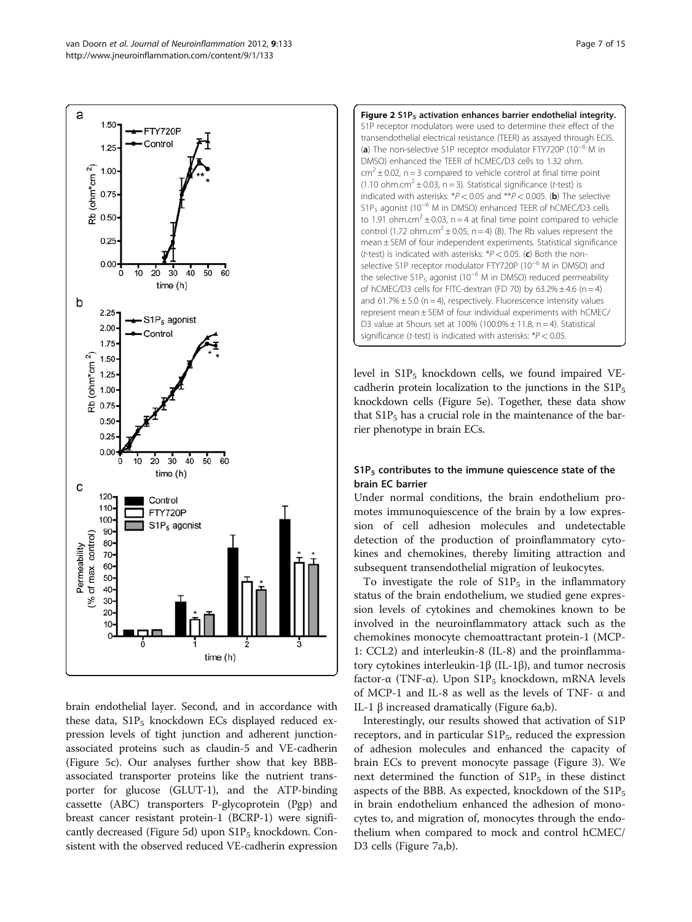్రీ 30  $20$ 10 time (h) brain endothelial layer. Second, and in accordance with

these data,  $S1P_5$  knockdown ECs displayed reduced expression levels of tight junction and adherent junctionassociated proteins such as claudin-5 and VE-cadherin (Figure [5c\)](#page-9-0). Our analyses further show that key BBBassociated transporter proteins like the nutrient transporter for glucose (GLUT-1), and the ATP-binding cassette (ABC) transporters P-glycoprotein (Pgp) and breast cancer resistant protein-1 (BCRP-1) were signifi-cantly decreased (Figure [5d\)](#page-9-0) upon  $S1P_5$  knockdown. Consistent with the observed reduced VE-cadherin expression Figure 2 S1P<sub>5</sub> activation enhances barrier endothelial integrity. S1P receptor modulators were used to determine their effect of the transendothelial electrical resistance (TEER) as assayed through ECIS. (a) The non-selective S1P receptor modulator FTY720P (10−<sup>6</sup> M in DMSO) enhanced the TEER of hCMEC/D3 cells to 1.32 ohm.  $\text{cm}^2 \pm 0.02$ , n = 3 compared to vehicle control at final time point (1.10 ohm.cm<sup>2</sup>  $\pm$  0.03, n = 3). Statistical significance (t-test) is indicated with asterisks:  $*P < 0.05$  and  $*P < 0.005$ . (b) The selective S1P<sub>5</sub> agonist (10<sup>-6</sup> M in DMSO) enhanced TEER of hCMEC/D3 cells to 1.91 ohm.cm<sup>2</sup>  $\pm$  0.03, n = 4 at final time point compared to vehicle control (1.72 ohm.cm<sup>2</sup> ± 0.05, n = 4) (B). The Rb values represent the mean ± SEM of four independent experiments. Statistical significance (*t*-test) is indicated with asterisks:  $*P < 0.05$ . (c) Both the nonselective S1P receptor modulator FTY720P (10<sup>-6</sup> M in DMSO) and the selective S1P<sub>5</sub> agonist (10<sup>-6</sup> M in DMSO) reduced permeability of hCMEC/D3 cells for FITC-dextran (FD 70) by  $63.2\% \pm 4.6$  (n = 4) and  $61.7\% \pm 5.0$  (n = 4), respectively. Fluorescence intensity values represent mean ± SEM of four individual experiments with hCMEC/ D3 value at 5 hours set at 100% (100.0%  $\pm$  11.8, n = 4). Statistical significance (t-test) is indicated with asterisks:  $*P < 0.05$ .

level in  $S1P_5$  knockdown cells, we found impaired VEcadherin protein localization to the junctions in the  $S1P_5$ knockdown cells (Figure [5e](#page-9-0)). Together, these data show that  $S1P_5$  has a crucial role in the maintenance of the barrier phenotype in brain ECs.

## $S1P_5$  contributes to the immune quiescence state of the brain EC barrier

Under normal conditions, the brain endothelium promotes immunoquiescence of the brain by a low expression of cell adhesion molecules and undetectable detection of the production of proinflammatory cytokines and chemokines, thereby limiting attraction and subsequent transendothelial migration of leukocytes.

To investigate the role of  $S1P_5$  in the inflammatory status of the brain endothelium, we studied gene expression levels of cytokines and chemokines known to be involved in the neuroinflammatory attack such as the chemokines monocyte chemoattractant protein-1 (MCP-1: CCL2) and interleukin-8 (IL-8) and the proinflammatory cytokines interleukin-1β (IL-1β), and tumor necrosis factor-α (TNF-α). Upon  $S1P_5$  knockdown, mRNA levels of MCP-1 and IL-8 as well as the levels of TNF- α and IL-1 β increased dramatically (Figure [6a,b](#page-10-0)).

Interestingly, our results showed that activation of S1P receptors, and in particular  $S1P_5$ , reduced the expression of adhesion molecules and enhanced the capacity of brain ECs to prevent monocyte passage (Figure [3\)](#page-7-0). We next determined the function of  $S1P_5$  in these distinct aspects of the BBB. As expected, knockdown of the  $S1P_5$ in brain endothelium enhanced the adhesion of monocytes to, and migration of, monocytes through the endothelium when compared to mock and control hCMEC/ D3 cells (Figure [7a,b](#page-11-0)).

<span id="page-6-0"></span>a

1.50

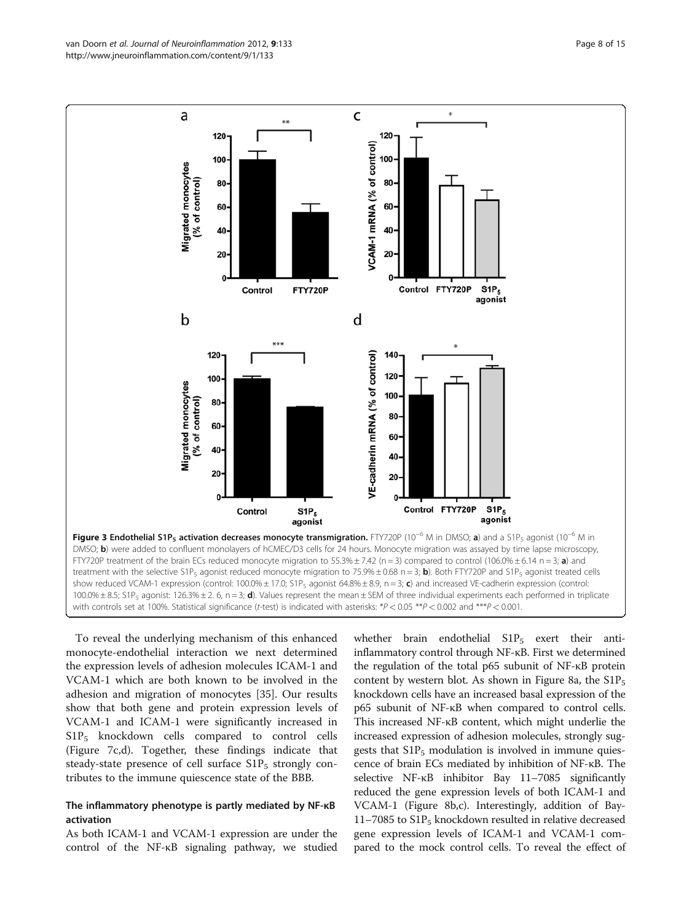<span id="page-7-0"></span>

FTY720P treatment of the brain ECs reduced monocyte migration to 55.3%  $\pm$  7.42 (n = 3) compared to control (106.0%  $\pm$  6.14 n = 3; a) and treatment with the selective S1P<sub>5</sub> agonist reduced monocyte migration to 75.9% ± 0.68 n = 3; **b**). Both FTY720P and S1P<sub>5</sub> agonist treated cells show reduced VCAM-1 expression (control:  $100.0\% \pm 17.0$ ; S1P<sub>5</sub> agonist 64.8% $\pm 8.9$ , n = 3; c) and increased VE-cadherin expression (control: 100.0%  $\pm$  8.5; S1P<sub>5</sub> agonist: 126.3%  $\pm$  2. 6, n = 3; **d**). Values represent the mean  $\pm$  SEM of three individual experiments each performed in triplicate with controls set at 100%. Statistical significance (t-test) is indicated with asterisks: \*P < 0.05 \*\*P < 0.002 and \*\*\*P < 0.001.

To reveal the underlying mechanism of this enhanced monocyte-endothelial interaction we next determined the expression levels of adhesion molecules ICAM-1 and VCAM-1 which are both known to be involved in the adhesion and migration of monocytes [[35](#page-14-0)]. Our results show that both gene and protein expression levels of VCAM-1 and ICAM-1 were significantly increased in  $S1P_5$  knockdown cells compared to control cells (Figure [7c,d](#page-11-0)). Together, these findings indicate that steady-state presence of cell surface  $S1P_5$  strongly contributes to the immune quiescence state of the BBB.

#### The inflammatory phenotype is partly mediated by NF-κB activation

As both ICAM-1 and VCAM-1 expression are under the control of the NF-κB signaling pathway, we studied

whether brain endothelial  $S1P_5$  exert their antiinflammatory control through NF-κB. First we determined the regulation of the total p65 subunit of NF-κB protein content by western blot. As shown in Figure [8a](#page-12-0), the  $S1P_5$ knockdown cells have an increased basal expression of the p65 subunit of NF-κB when compared to control cells. This increased NF-κB content, which might underlie the increased expression of adhesion molecules, strongly suggests that  $\text{S1P}_5$  modulation is involved in immune quiescence of brain ECs mediated by inhibition of NF-κB. The selective NF-κB inhibitor Bay 11–7085 significantly reduced the gene expression levels of both ICAM-1 and VCAM-1 (Figure [8b,c\)](#page-12-0). Interestingly, addition of Bay- $11-7085$  to  $S1P_5$  knockdown resulted in relative decreased gene expression levels of ICAM-1 and VCAM-1 compared to the mock control cells. To reveal the effect of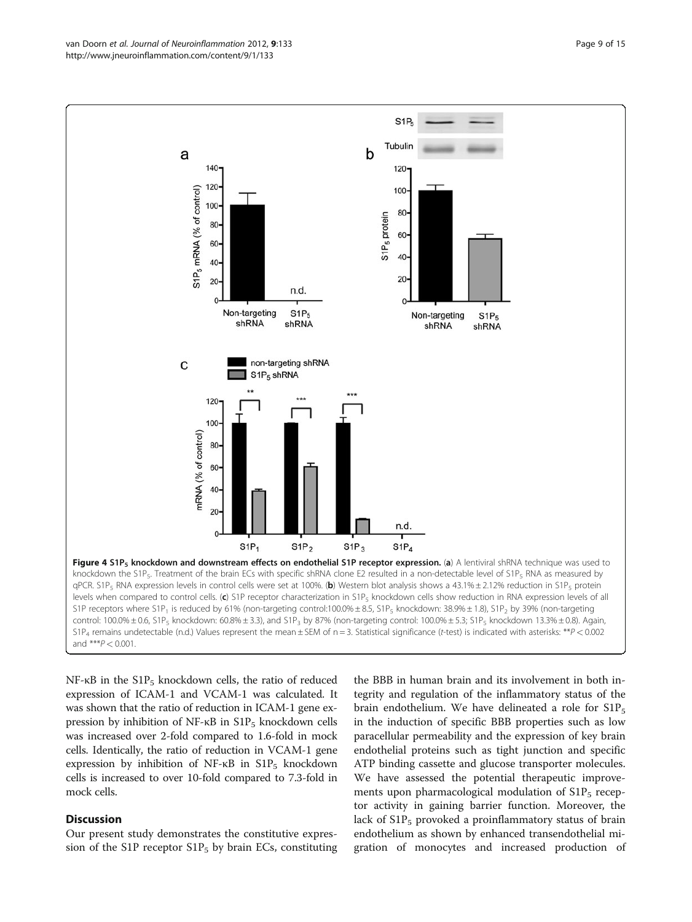<span id="page-8-0"></span>

NF-κB in the  $S1P_5$  knockdown cells, the ratio of reduced expression of ICAM-1 and VCAM-1 was calculated. It was shown that the ratio of reduction in ICAM-1 gene expression by inhibition of NF- $κ$ B in S1P<sub>5</sub> knockdown cells was increased over 2-fold compared to 1.6-fold in mock cells. Identically, the ratio of reduction in VCAM-1 gene expression by inhibition of NF- $κB$  in  $S1P_5$  knockdown cells is increased to over 10-fold compared to 7.3-fold in mock cells.

## **Discussion**

Our present study demonstrates the constitutive expression of the S1P receptor  $S1P_5$  by brain ECs, constituting

the BBB in human brain and its involvement in both integrity and regulation of the inflammatory status of the brain endothelium. We have delineated a role for  $\text{S1P}_5$ in the induction of specific BBB properties such as low paracellular permeability and the expression of key brain endothelial proteins such as tight junction and specific ATP binding cassette and glucose transporter molecules. We have assessed the potential therapeutic improvements upon pharmacological modulation of  $S1P_5$  receptor activity in gaining barrier function. Moreover, the lack of  $\text{S1P}_5$  provoked a proinflammatory status of brain endothelium as shown by enhanced transendothelial migration of monocytes and increased production of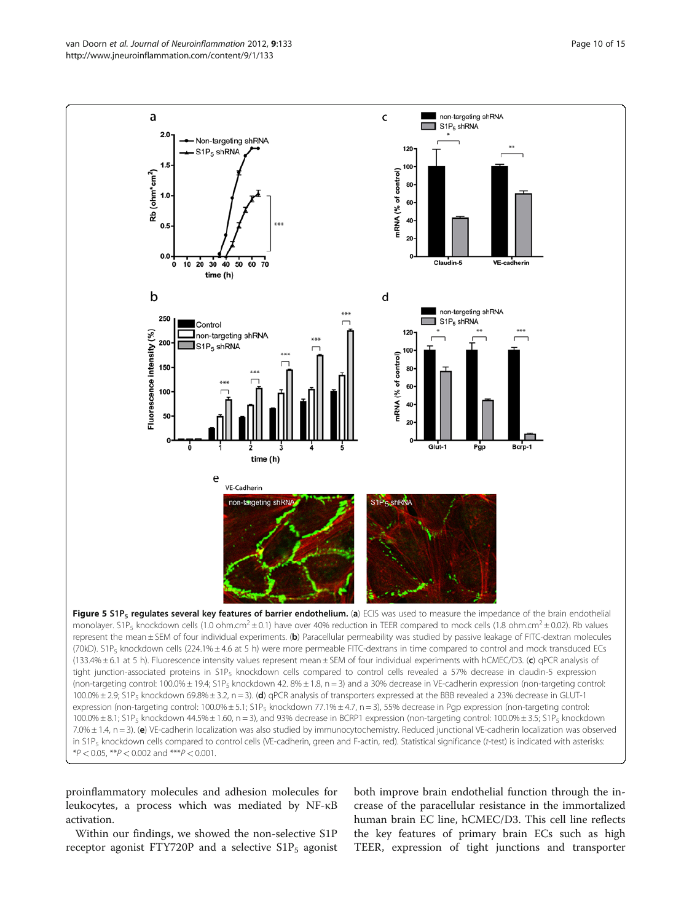<span id="page-9-0"></span>van Doorn et al. Journal of Neuroinflammation 2012, 9:133 Page 10 of 15 http://www.jneuroinflammation.com/content/9/1/133



proinflammatory molecules and adhesion molecules for leukocytes, a process which was mediated by NF-κB

activation.

Within our findings, we showed the non-selective S1P receptor agonist FTY720P and a selective  $S1P_5$  agonist

both improve brain endothelial function through the increase of the paracellular resistance in the immortalized human brain EC line, hCMEC/D3. This cell line reflects the key features of primary brain ECs such as high TEER, expression of tight junctions and transporter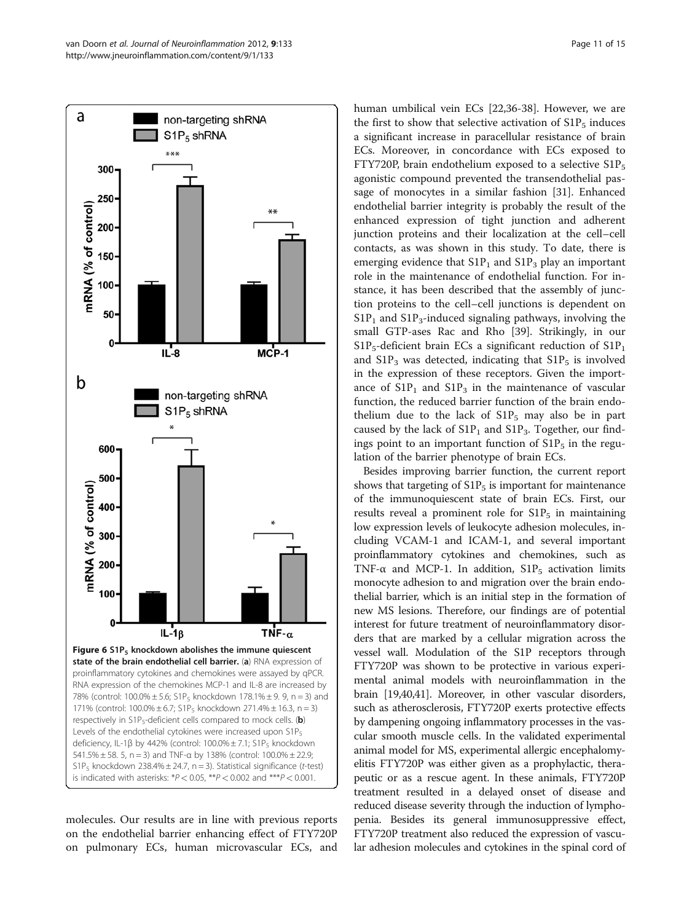<span id="page-10-0"></span>

molecules. Our results are in line with previous reports on the endothelial barrier enhancing effect of FTY720P on pulmonary ECs, human microvascular ECs, and

human umbilical vein ECs [[22,](#page-13-0)[36-38\]](#page-14-0). However, we are the first to show that selective activation of  $S1P_5$  induces a significant increase in paracellular resistance of brain ECs. Moreover, in concordance with ECs exposed to FTY720P, brain endothelium exposed to a selective  $S1P_5$ agonistic compound prevented the transendothelial passage of monocytes in a similar fashion [[31\]](#page-14-0). Enhanced endothelial barrier integrity is probably the result of the enhanced expression of tight junction and adherent junction proteins and their localization at the cell–cell contacts, as was shown in this study. To date, there is emerging evidence that  $S1P_1$  and  $S1P_3$  play an important role in the maintenance of endothelial function. For instance, it has been described that the assembly of junction proteins to the cell–cell junctions is dependent on  $S1P_1$  and  $S1P_3$ -induced signaling pathways, involving the small GTP-ases Rac and Rho [\[39](#page-14-0)]. Strikingly, in our  $S1P_5$ -deficient brain ECs a significant reduction of  $S1P_1$ and  $S1P_3$  was detected, indicating that  $S1P_5$  is involved in the expression of these receptors. Given the importance of  $\text{S1P}_1$  and  $\text{S1P}_3$  in the maintenance of vascular function, the reduced barrier function of the brain endothelium due to the lack of  $S1P_5$  may also be in part caused by the lack of  $S1P_1$  and  $S1P_3$ . Together, our findings point to an important function of  $S1P_5$  in the regulation of the barrier phenotype of brain ECs.

Besides improving barrier function, the current report shows that targeting of  $\text{S1P}_5$  is important for maintenance of the immunoquiescent state of brain ECs. First, our results reveal a prominent role for  $S1P_5$  in maintaining low expression levels of leukocyte adhesion molecules, including VCAM-1 and ICAM-1, and several important proinflammatory cytokines and chemokines, such as TNF- $\alpha$  and MCP-1. In addition, S1P<sub>5</sub> activation limits monocyte adhesion to and migration over the brain endothelial barrier, which is an initial step in the formation of new MS lesions. Therefore, our findings are of potential interest for future treatment of neuroinflammatory disorders that are marked by a cellular migration across the vessel wall. Modulation of the S1P receptors through FTY720P was shown to be protective in various experimental animal models with neuroinflammation in the brain [[19](#page-13-0)[,40,41\]](#page-14-0). Moreover, in other vascular disorders, such as atherosclerosis, FTY720P exerts protective effects by dampening ongoing inflammatory processes in the vascular smooth muscle cells. In the validated experimental animal model for MS, experimental allergic encephalomyelitis FTY720P was either given as a prophylactic, therapeutic or as a rescue agent. In these animals, FTY720P treatment resulted in a delayed onset of disease and reduced disease severity through the induction of lymphopenia. Besides its general immunosuppressive effect, FTY720P treatment also reduced the expression of vascular adhesion molecules and cytokines in the spinal cord of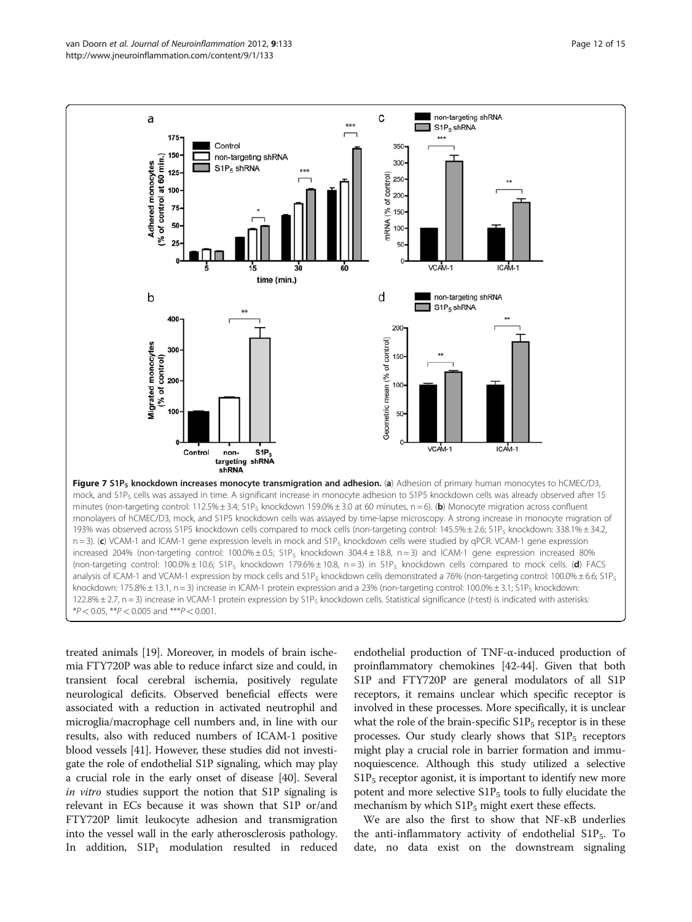<span id="page-11-0"></span>

122.8%  $\pm$  2.7, n = 3) increase in VCAM-1 protein expression by S1P<sub>5</sub> knockdown cells. Statistical significance (t-test) is indicated with asterisks:

 $*P < 0.05$ ,  $*P < 0.005$  and  $**P < 0.001$ .

treated animals [\[19\]](#page-13-0). Moreover, in models of brain ischemia FTY720P was able to reduce infarct size and could, in transient focal cerebral ischemia, positively regulate neurological deficits. Observed beneficial effects were associated with a reduction in activated neutrophil and microglia/macrophage cell numbers and, in line with our results, also with reduced numbers of ICAM-1 positive blood vessels [\[41](#page-14-0)]. However, these studies did not investigate the role of endothelial S1P signaling, which may play a crucial role in the early onset of disease [[40](#page-14-0)]. Several in vitro studies support the notion that S1P signaling is relevant in ECs because it was shown that S1P or/and FTY720P limit leukocyte adhesion and transmigration into the vessel wall in the early atherosclerosis pathology. In addition,  $S1P_1$  modulation resulted in reduced

endothelial production of TNF-α-induced production of proinflammatory chemokines [\[42-44\]](#page-14-0). Given that both S1P and FTY720P are general modulators of all S1P receptors, it remains unclear which specific receptor is involved in these processes. More specifically, it is unclear what the role of the brain-specific  $S1P_5$  receptor is in these processes. Our study clearly shows that  $S1P_5$  receptors might play a crucial role in barrier formation and immunoquiescence. Although this study utilized a selective  $S1P_5$  receptor agonist, it is important to identify new more potent and more selective  $S1P_5$  tools to fully elucidate the mechanism by which  $S1P_5$  might exert these effects.

We are also the first to show that NF-κB underlies the anti-inflammatory activity of endothelial  $S1P_5$ . To date, no data exist on the downstream signaling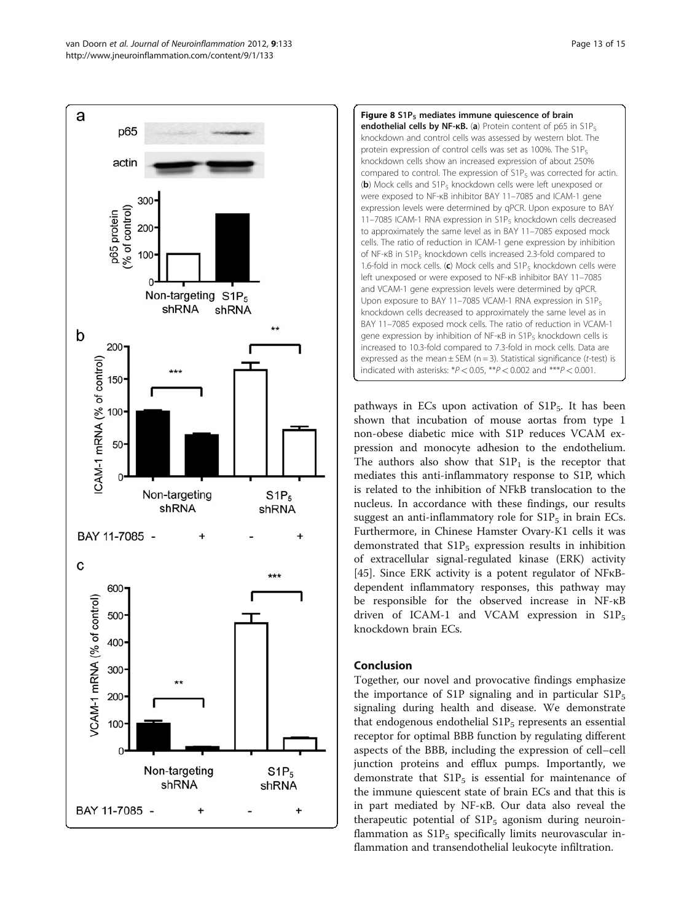<span id="page-12-0"></span>



pathways in ECs upon activation of  $S1P_5$ . It has been shown that incubation of mouse aortas from type 1 non-obese diabetic mice with S1P reduces VCAM expression and monocyte adhesion to the endothelium. The authors also show that  $S1P_1$  is the receptor that mediates this anti-inflammatory response to S1P, which is related to the inhibition of NFkB translocation to the nucleus. In accordance with these findings, our results suggest an anti-inflammatory role for  $S1P_5$  in brain ECs. Furthermore, in Chinese Hamster Ovary-K1 cells it was demonstrated that  $\text{S1P}_5$  expression results in inhibition of extracellular signal-regulated kinase (ERK) activity [[45\]](#page-14-0). Since ERK activity is a potent regulator of NFκBdependent inflammatory responses, this pathway may be responsible for the observed increase in NF-κB driven of ICAM-1 and VCAM expression in  $\text{S1P}_5$ knockdown brain ECs.

## Conclusion

Together, our novel and provocative findings emphasize the importance of S1P signaling and in particular  $\text{S1P}_5$ signaling during health and disease. We demonstrate that endogenous endothelial  $S1P_5$  represents an essential receptor for optimal BBB function by regulating different aspects of the BBB, including the expression of cell–cell junction proteins and efflux pumps. Importantly, we demonstrate that  $S1P_5$  is essential for maintenance of the immune quiescent state of brain ECs and that this is in part mediated by NF-κB. Our data also reveal the therapeutic potential of  $S1P_5$  agonism during neuroinflammation as  $\text{S1P}_5$  specifically limits neurovascular inflammation and transendothelial leukocyte infiltration.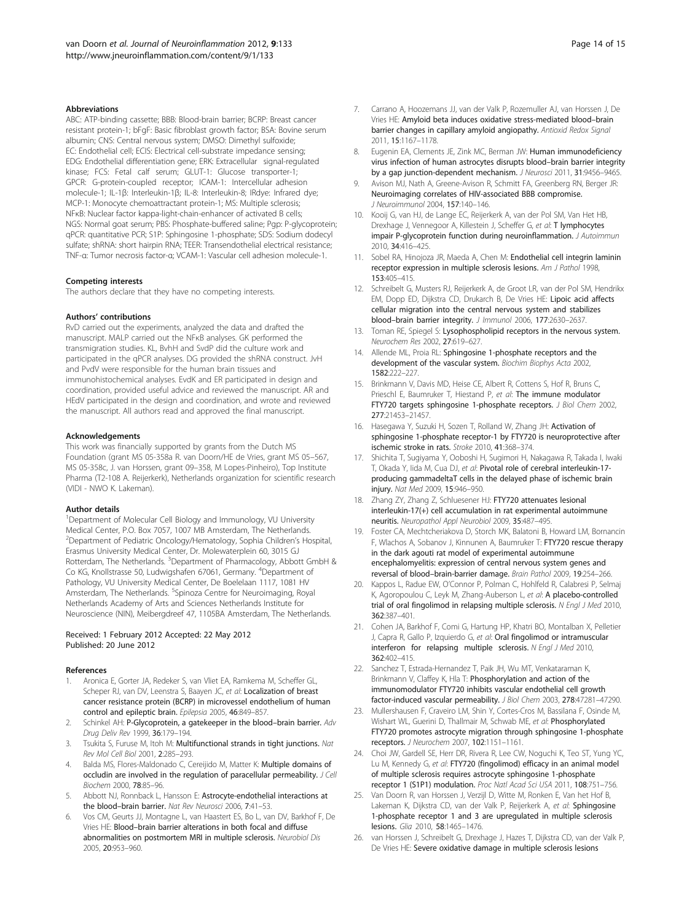#### <span id="page-13-0"></span>Abbreviations

ABC: ATP-binding cassette; BBB: Blood-brain barrier; BCRP: Breast cancer resistant protein-1; bFgF: Basic fibroblast growth factor; BSA: Bovine serum albumin; CNS: Central nervous system; DMSO: Dimethyl sulfoxide; EC: Endothelial cell; ECIS: Electrical cell-substrate impedance sensing; EDG: Endothelial differentiation gene; ERK: Extracellular signal-regulated kinase; FCS: Fetal calf serum; GLUT-1: Glucose transporter-1; GPCR: G-protein-coupled receptor; ICAM-1: Intercellular adhesion molecule-1; IL-1β: Interleukin-1β; IL-8: Interleukin-8; IRdye: Infrared dye; MCP-1: Monocyte chemoattractant protein-1; MS: Multiple sclerosis; NFκB: Nuclear factor kappa-light-chain-enhancer of activated B cells; NGS: Normal goat serum; PBS: Phosphate-buffered saline; Pgp: P-glycoprotein; qPCR: quantitative PCR; S1P: Sphingosine 1-phosphate; SDS: Sodium dodecyl sulfate; shRNA: short hairpin RNA; TEER: Transendothelial electrical resistance; TNF-α: Tumor necrosis factor-α; VCAM-1: Vascular cell adhesion molecule-1.

#### Competing interests

The authors declare that they have no competing interests.

#### Authors' contributions

RvD carried out the experiments, analyzed the data and drafted the manuscript. MALP carried out the NFκB analyses. GK performed the transmigration studies. KL, BvhH and SvdP did the culture work and participated in the qPCR analyses. DG provided the shRNA construct. JvH and PvdV were responsible for the human brain tissues and immunohistochemical analyses. EvdK and ER participated in design and coordination, provided useful advice and reviewed the manuscript. AR and HEdV participated in the design and coordination, and wrote and reviewed the manuscript. All authors read and approved the final manuscript.

#### Acknowledgements

This work was financially supported by grants from the Dutch MS Foundation (grant MS 05-358a R. van Doorn/HE de Vries, grant MS 05–567, MS 05-358c, J. van Horssen, grant 09–358, M Lopes-Pinheiro), Top Institute Pharma (T2-108 A. Reijerkerk), Netherlands organization for scientific research (VIDI - NWO K. Lakeman).

#### Author details

<sup>1</sup>Department of Molecular Cell Biology and Immunology, VU University Medical Center, P.O. Box 7057, 1007 MB Amsterdam, The Netherlands. 2 Department of Pediatric Oncology/Hematology, Sophia Children's Hospital, Erasmus University Medical Center, Dr. Molewaterplein 60, 3015 GJ Rotterdam, The Netherlands. <sup>3</sup>Department of Pharmacology, Abbott GmbH & Co KG, Knollstrasse 50, Ludwigshafen 67061, Germany. <sup>4</sup>Department of Pathology, VU University Medical Center, De Boelelaan 1117, 1081 HV Amsterdam, The Netherlands. <sup>5</sup>Spinoza Centre for Neuroimaging, Royal Netherlands Academy of Arts and Sciences Netherlands Institute for Neuroscience (NIN), Meibergdreef 47, 1105BA Amsterdam, The Netherlands.

#### Received: 1 February 2012 Accepted: 22 May 2012 Published: 20 June 2012

#### References

- 1. Aronica E, Gorter JA, Redeker S, van Vliet EA, Ramkema M, Scheffer GL, Scheper RJ, van DV, Leenstra S, Baayen JC, et al: Localization of breast cancer resistance protein (BCRP) in microvessel endothelium of human control and epileptic brain. Epilepsia 2005, 46:849–857.
- 2. Schinkel AH: P-Glycoprotein, a gatekeeper in the blood-brain barrier. Adv Drug Deliv Rev 1999, 36:179–194.
- Tsukita S, Furuse M, Itoh M: Multifunctional strands in tight junctions. Nat Rev Mol Cell Biol 2001, 2:285–293.
- 4. Balda MS, Flores-Maldonado C, Cereijido M, Matter K: Multiple domains of occludin are involved in the regulation of paracellular permeability. J Cell Biochem 2000, 78:85–96.
- Abbott NJ, Ronnback L, Hansson E: Astrocyte-endothelial interactions at the blood–brain barrier. Nat Rev Neurosci 2006, 7:41–53.
- Vos CM, Geurts JJ, Montagne L, van Haastert ES, Bo L, van DV, Barkhof F, De Vries HE: Blood–brain barrier alterations in both focal and diffuse abnormalities on postmortem MRI in multiple sclerosis. Neurobiol Dis 2005, 20:953–960.
- 7. Carrano A, Hoozemans JJ, van der Valk P, Rozemuller AJ, van Horssen J, De Vries HE: Amyloid beta induces oxidative stress-mediated blood–brain barrier changes in capillary amyloid angiopathy. Antioxid Redox Signal 2011, 15:1167–1178.
- 8. Eugenin EA, Clements JE, Zink MC, Berman JW: Human immunodeficiency virus infection of human astrocytes disrupts blood–brain barrier integrity by a gap junction-dependent mechanism. J Neurosci 2011, 31:9456-9465.
- Avison MJ, Nath A, Greene-Avison R, Schmitt FA, Greenberg RN, Berger JR: Neuroimaging correlates of HIV-associated BBB compromise. J Neuroimmunol 2004, 157:140–146.
- 10. Kooij G, van HJ, de Lange EC, Reijerkerk A, van der Pol SM, Van Het HB, Drexhage J, Vennegoor A, Killestein J, Scheffer G, et al: T lymphocytes impair P-glycoprotein function during neuroinflammation. J Autoimmun 2010, 34:416–425.
- 11. Sobel RA, Hinojoza JR, Maeda A, Chen M: Endothelial cell integrin laminin receptor expression in multiple sclerosis lesions. Am J Pathol 1998, 153:405–415.
- 12. Schreibelt G, Musters RJ, Reijerkerk A, de Groot LR, van der Pol SM, Hendrikx EM, Dopp ED, Dijkstra CD, Drukarch B, De Vries HE: Lipoic acid affects cellular migration into the central nervous system and stabilizes blood–brain barrier integrity. J Immunol 2006, 177:2630–2637.
- 13. Toman RE, Spiegel S: Lysophospholipid receptors in the nervous system. Neurochem Res 2002, 27:619–627.
- 14. Allende ML, Proia RL: Sphingosine 1-phosphate receptors and the development of the vascular system. Biochim Biophys Acta 2002, 1582:222–227.
- 15. Brinkmann V, Davis MD, Heise CE, Albert R, Cottens S, Hof R, Bruns C, Prieschl E, Baumruker T, Hiestand P, et al: The immune modulator FTY720 targets sphingosine 1-phosphate receptors. J Biol Chem 2002, 277:21453–21457.
- 16. Hasegawa Y, Suzuki H, Sozen T, Rolland W, Zhang JH: Activation of sphingosine 1-phosphate receptor-1 by FTY720 is neuroprotective after ischemic stroke in rats. Stroke 2010, 41:368–374.
- 17. Shichita T, Sugiyama Y, Ooboshi H, Sugimori H, Nakagawa R, Takada I, Iwaki T, Okada Y, Iida M, Cua DJ, et al: Pivotal role of cerebral interleukin-17 producing gammadeltaT cells in the delayed phase of ischemic brain injury. Nat Med 2009, 15:946–950.
- 18. Zhang ZY, Zhang Z, Schluesener HJ: FTY720 attenuates lesional interleukin-17(+) cell accumulation in rat experimental autoimmune neuritis. Neuropathol Appl Neurobiol 2009, 35:487–495.
- 19. Foster CA, Mechtcheriakova D, Storch MK, Balatoni B, Howard LM, Bornancin F, Wlachos A, Sobanov J, Kinnunen A, Baumruker T: FTY720 rescue therapy in the dark agouti rat model of experimental autoimmune encephalomyelitis: expression of central nervous system genes and reversal of blood–brain-barrier damage. Brain Pathol 2009, 19:254–266.
- 20. Kappos L, Radue EW, O'Connor P, Polman C, Hohlfeld R, Calabresi P, Selmaj K, Agoropoulou C, Leyk M, Zhang-Auberson L, et al: A placebo-controlled trial of oral fingolimod in relapsing multiple sclerosis. N Engl J Med 2010, 362:387–401.
- 21. Cohen JA, Barkhof F, Comi G, Hartung HP, Khatri BO, Montalban X, Pelletier J, Capra R, Gallo P, Izquierdo G, et al: Oral fingolimod or intramuscular interferon for relapsing multiple sclerosis. N Engl J Med 2010, 362:402–415.
- 22. Sanchez T, Estrada-Hernandez T, Paik JH, Wu MT, Venkataraman K, Brinkmann V, Claffey K, Hla T: Phosphorylation and action of the immunomodulator FTY720 inhibits vascular endothelial cell growth factor-induced vascular permeability. J Biol Chem 2003, 278:47281–47290.
- 23. Mullershausen F, Craveiro LM, Shin Y, Cortes-Cros M, Bassilana F, Osinde M, Wishart WL, Guerini D, Thallmair M, Schwab ME, et al: Phosphorylated FTY720 promotes astrocyte migration through sphingosine 1-phosphate receptors. J Neurochem 2007, 102:1151–1161.
- 24. Choi JW, Gardell SE, Herr DR, Rivera R, Lee CW, Noguchi K, Teo ST, Yung YC, Lu M, Kennedy G, et al: FTY720 (fingolimod) efficacy in an animal model of multiple sclerosis requires astrocyte sphingosine 1-phosphate receptor 1 (S1P1) modulation. Proc Natl Acad Sci USA 2011, 108:751–756.
- 25. Van Doorn R, van Horssen J, Verzijl D, Witte M, Ronken E, Van het Hof B, Lakeman K, Dijkstra CD, van der Valk P, Reijerkerk A, et al: Sphingosine 1-phosphate receptor 1 and 3 are upregulated in multiple sclerosis lesions. Glia 2010, 58:1465–1476.
- 26. van Horssen J, Schreibelt G, Drexhage J, Hazes T, Dijkstra CD, van der Valk P, De Vries HE: Severe oxidative damage in multiple sclerosis lesions